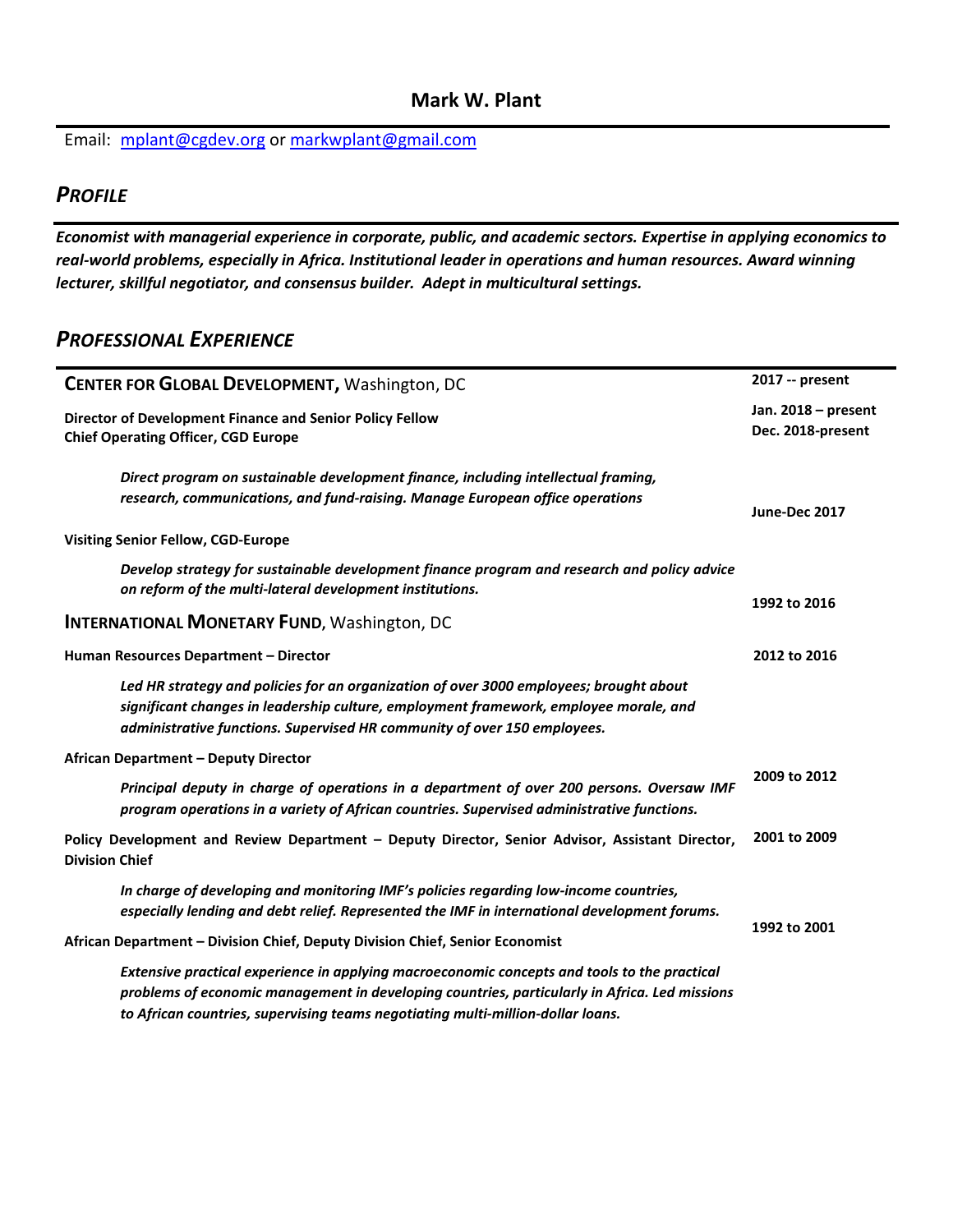Email: [mplant@cgdev.org](mailto:mplant@cgdev.org) or [markwplant@gmail.com](mailto:markwplant@gmail.com) 

## *PROFILE*

*Economist with managerial experience in corporate, public, and academic sectors. Expertise in applying economics to real-world problems, especially in Africa. Institutional leader in operations and human resources. Award winning lecturer, skillful negotiator, and consensus builder. Adept in multicultural settings.*

### *PROFESSIONAL EXPERIENCE*

| CENTER FOR GLOBAL DEVELOPMENT, Washington, DC                                                                                                                                                                                                                                    | 2017 -- present                          |  |
|----------------------------------------------------------------------------------------------------------------------------------------------------------------------------------------------------------------------------------------------------------------------------------|------------------------------------------|--|
| Director of Development Finance and Senior Policy Fellow<br><b>Chief Operating Officer, CGD Europe</b>                                                                                                                                                                           | Jan. 2018 - present<br>Dec. 2018-present |  |
| Direct program on sustainable development finance, including intellectual framing,<br>research, communications, and fund-raising. Manage European office operations                                                                                                              | June-Dec 2017                            |  |
| <b>Visiting Senior Fellow, CGD-Europe</b>                                                                                                                                                                                                                                        |                                          |  |
| Develop strategy for sustainable development finance program and research and policy advice<br>on reform of the multi-lateral development institutions.                                                                                                                          | 1992 to 2016                             |  |
| <b>INTERNATIONAL MONETARY FUND, Washington, DC</b>                                                                                                                                                                                                                               |                                          |  |
| Human Resources Department - Director                                                                                                                                                                                                                                            | 2012 to 2016                             |  |
| Led HR strategy and policies for an organization of over 3000 employees; brought about<br>significant changes in leadership culture, employment framework, employee morale, and<br>administrative functions. Supervised HR community of over 150 employees.                      |                                          |  |
| African Department - Deputy Director                                                                                                                                                                                                                                             |                                          |  |
| Principal deputy in charge of operations in a department of over 200 persons. Oversaw IMF<br>program operations in a variety of African countries. Supervised administrative functions.                                                                                          | 2009 to 2012                             |  |
| Policy Development and Review Department - Deputy Director, Senior Advisor, Assistant Director,<br><b>Division Chief</b>                                                                                                                                                         | 2001 to 2009                             |  |
| In charge of developing and monitoring IMF's policies regarding low-income countries,<br>especially lending and debt relief. Represented the IMF in international development forums.                                                                                            |                                          |  |
| African Department - Division Chief, Deputy Division Chief, Senior Economist                                                                                                                                                                                                     | 1992 to 2001                             |  |
| Extensive practical experience in applying macroeconomic concepts and tools to the practical<br>problems of economic management in developing countries, particularly in Africa. Led missions<br>to African countries, supervising teams negotiating multi-million-dollar loans. |                                          |  |